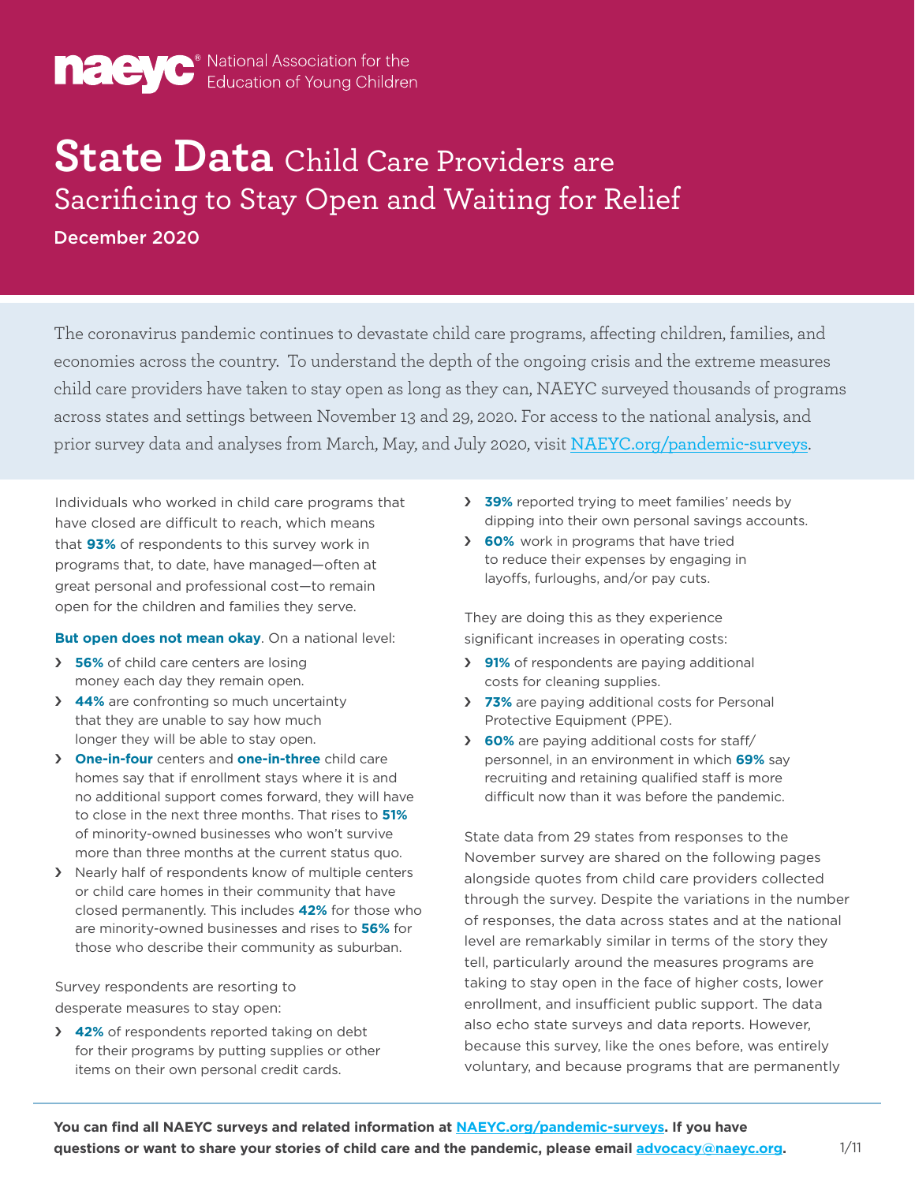

# **State Data** Child Care Providers are Sacrificing to Stay Open and Waiting for Relief

December 2020

The coronavirus pandemic continues to devastate child care programs, affecting children, families, and economies across the country. To understand the depth of the ongoing crisis and the extreme measures child care providers have taken to stay open as long as they can, NAEYC surveyed thousands of programs across states and settings between November 13 and 29, 2020. For access to the national analysis, and prior survey data and analyses from March, May, and July 2020, visit [NAEYC.org/pandemic-surveys](http://NAEYC.org/pandemic-surveys).

Individuals who worked in child care programs that have closed are difficult to reach, which means that **93%** of respondents to this survey work in programs that, to date, have managed—often at great personal and professional cost—to remain open for the children and families they serve.

#### **But open does not mean okay**. On a national level:

- › **56%** of child care centers are losing money each day they remain open.
- › **44%** are confronting so much uncertainty that they are unable to say how much longer they will be able to stay open.
- › **One-in-four** centers and **one-in-three** child care homes say that if enrollment stays where it is and no additional support comes forward, they will have to close in the next three months. That rises to **51%** of minority-owned businesses who won't survive more than three months at the current status quo.
- › Nearly half of respondents know of multiple centers or child care homes in their community that have closed permanently. This includes **42%** for those who are minority-owned businesses and rises to **56%** for those who describe their community as suburban.

Survey respondents are resorting to desperate measures to stay open:

› **42%** of respondents reported taking on debt for their programs by putting supplies or other items on their own personal credit cards.

- › **39%** reported trying to meet families' needs by dipping into their own personal savings accounts.
- › **60%** work in programs that have tried to reduce their expenses by engaging in layoffs, furloughs, and/or pay cuts.

They are doing this as they experience significant increases in operating costs:

- › **91%** of respondents are paying additional costs for cleaning supplies.
- › **73%** are paying additional costs for Personal Protective Equipment (PPE).
- › **60%** are paying additional costs for staff/ personnel, in an environment in which **69%** say recruiting and retaining qualified staff is more difficult now than it was before the pandemic.

State data from 29 states from responses to the November survey are shared on the following pages alongside quotes from child care providers collected through the survey. Despite the variations in the number of responses, the data across states and at the national level are remarkably similar in terms of the story they tell, particularly around the measures programs are taking to stay open in the face of higher costs, lower enrollment, and insufficient public support. The data also echo state surveys and data reports. However, because this survey, like the ones before, was entirely voluntary, and because programs that are permanently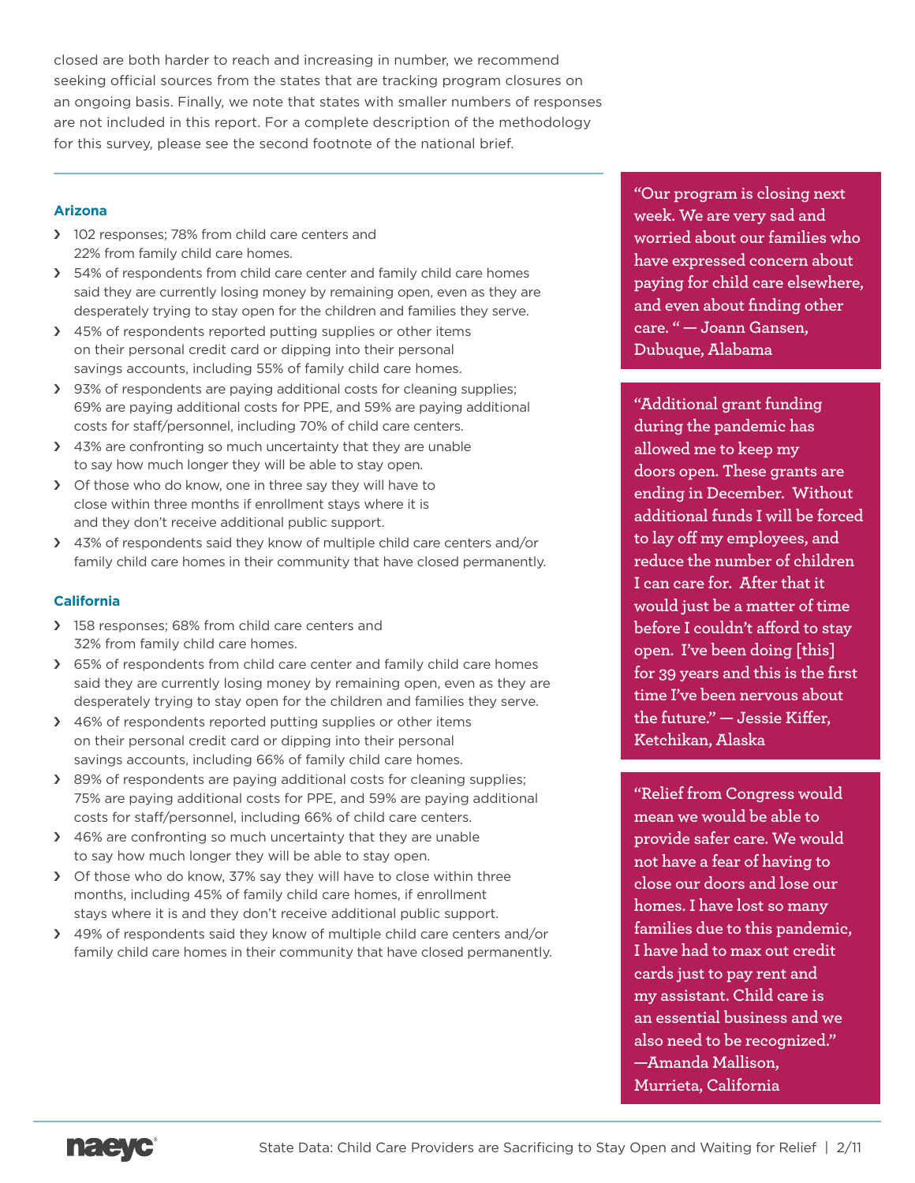closed are both harder to reach and increasing in number, we recommend seeking official sources from the states that are tracking program closures on an ongoing basis. Finally, we note that states with smaller numbers of responses are not included in this report. For a complete description of the methodology for this survey, please see the second footnote of the national brief.

# **Arizona**

- > 102 responses; 78% from child care centers and 22% from family child care homes.
- > 54% of respondents from child care center and family child care homes said they are currently losing money by remaining open, even as they are desperately trying to stay open for the children and families they serve.
- > 45% of respondents reported putting supplies or other items on their personal credit card or dipping into their personal savings accounts, including 55% of family child care homes.
- › 93% of respondents are paying additional costs for cleaning supplies; 69% are paying additional costs for PPE, and 59% are paying additional costs for staff/personnel, including 70% of child care centers.
- > 43% are confronting so much uncertainty that they are unable to say how much longer they will be able to stay open.
- > Of those who do know, one in three say they will have to close within three months if enrollment stays where it is and they don't receive additional public support.
- > 43% of respondents said they know of multiple child care centers and/or family child care homes in their community that have closed permanently.

# **California**

- > 158 responses; 68% from child care centers and 32% from family child care homes.
- › 65% of respondents from child care center and family child care homes said they are currently losing money by remaining open, even as they are desperately trying to stay open for the children and families they serve.
- > 46% of respondents reported putting supplies or other items on their personal credit card or dipping into their personal savings accounts, including 66% of family child care homes.
- › 89% of respondents are paying additional costs for cleaning supplies; 75% are paying additional costs for PPE, and 59% are paying additional costs for staff/personnel, including 66% of child care centers.
- > 46% are confronting so much uncertainty that they are unable to say how much longer they will be able to stay open.
- > Of those who do know, 37% say they will have to close within three months, including 45% of family child care homes, if enrollment stays where it is and they don't receive additional public support.
- › 49% of respondents said they know of multiple child care centers and/or family child care homes in their community that have closed permanently.

**"Our program is closing next week. We are very sad and worried about our families who have expressed concern about paying for child care elsewhere, and even about finding other care. " — Joann Gansen, Dubuque, Alabama**

**"Additional grant funding during the pandemic has allowed me to keep my doors open. These grants are ending in December. Without additional funds I will be forced to lay off my employees, and reduce the number of children I can care for. After that it would just be a matter of time before I couldn't afford to stay open. I've been doing [this] for 39 years and this is the first time I've been nervous about the future." — Jessie Kiffer, Ketchikan, Alaska**

**"Relief from Congress would mean we would be able to provide safer care. We would not have a fear of having to close our doors and lose our homes. I have lost so many families due to this pandemic, I have had to max out credit cards just to pay rent and my assistant. Child care is an essential business and we also need to be recognized." —Amanda Mallison, Murrieta, California**

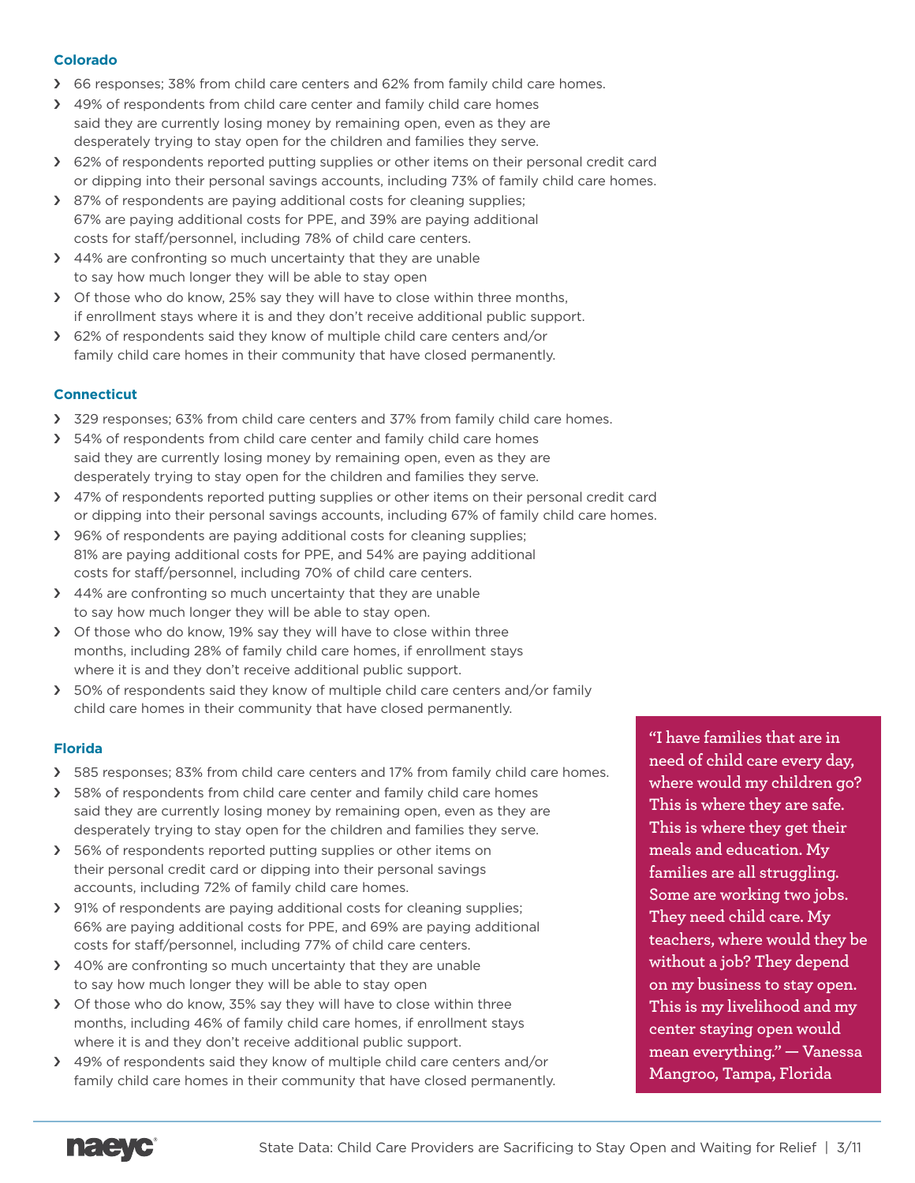# **Colorado**

- › 66 responses; 38% from child care centers and 62% from family child care homes.
- › 49% of respondents from child care center and family child care homes said they are currently losing money by remaining open, even as they are desperately trying to stay open for the children and families they serve.
- › 62% of respondents reported putting supplies or other items on their personal credit card or dipping into their personal savings accounts, including 73% of family child care homes.
- › 87% of respondents are paying additional costs for cleaning supplies; 67% are paying additional costs for PPE, and 39% are paying additional costs for staff/personnel, including 78% of child care centers.
- > 44% are confronting so much uncertainty that they are unable to say how much longer they will be able to stay open
- › Of those who do know, 25% say they will have to close within three months, if enrollment stays where it is and they don't receive additional public support.
- › 62% of respondents said they know of multiple child care centers and/or family child care homes in their community that have closed permanently.

# **Connecticut**

- > 329 responses; 63% from child care centers and 37% from family child care homes.
- › 54% of respondents from child care center and family child care homes said they are currently losing money by remaining open, even as they are desperately trying to stay open for the children and families they serve.
- › 47% of respondents reported putting supplies or other items on their personal credit card or dipping into their personal savings accounts, including 67% of family child care homes.
- › 96% of respondents are paying additional costs for cleaning supplies; 81% are paying additional costs for PPE, and 54% are paying additional costs for staff/personnel, including 70% of child care centers.
- > 44% are confronting so much uncertainty that they are unable to say how much longer they will be able to stay open.
- › Of those who do know, 19% say they will have to close within three months, including 28% of family child care homes, if enrollment stays where it is and they don't receive additional public support.
- > 50% of respondents said they know of multiple child care centers and/or family child care homes in their community that have closed permanently.

# **Florida**

- › 585 responses; 83% from child care centers and 17% from family child care homes.
- > 58% of respondents from child care center and family child care homes said they are currently losing money by remaining open, even as they are desperately trying to stay open for the children and families they serve.
- › 56% of respondents reported putting supplies or other items on their personal credit card or dipping into their personal savings accounts, including 72% of family child care homes.
- › 91% of respondents are paying additional costs for cleaning supplies; 66% are paying additional costs for PPE, and 69% are paying additional costs for staff/personnel, including 77% of child care centers.
- › 40% are confronting so much uncertainty that they are unable to say how much longer they will be able to stay open
- › Of those who do know, 35% say they will have to close within three months, including 46% of family child care homes, if enrollment stays where it is and they don't receive additional public support.
- › 49% of respondents said they know of multiple child care centers and/or family child care homes in their community that have closed permanently.

**"I have families that are in need of child care every day, where would my children go? This is where they are safe. This is where they get their meals and education. My families are all struggling. Some are working two jobs. They need child care. My teachers, where would they be without a job? They depend on my business to stay open. This is my livelihood and my center staying open would mean everything." — Vanessa Mangroo, Tampa, Florida**

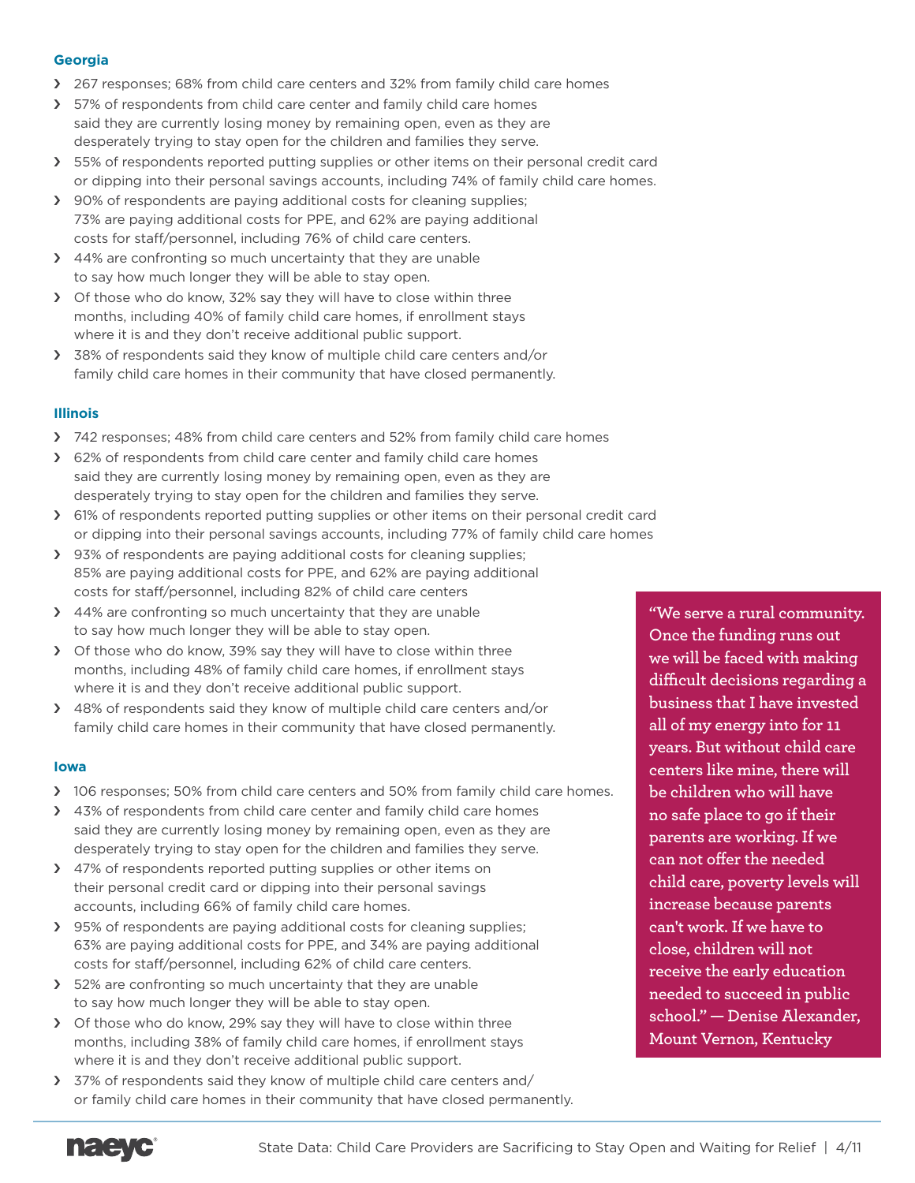# **Georgia**

- › 267 responses; 68% from child care centers and 32% from family child care homes
- > 57% of respondents from child care center and family child care homes said they are currently losing money by remaining open, even as they are desperately trying to stay open for the children and families they serve.
- > 55% of respondents reported putting supplies or other items on their personal credit card or dipping into their personal savings accounts, including 74% of family child care homes.
- › 90% of respondents are paying additional costs for cleaning supplies; 73% are paying additional costs for PPE, and 62% are paying additional costs for staff/personnel, including 76% of child care centers.
- > 44% are confronting so much uncertainty that they are unable to say how much longer they will be able to stay open.
- › Of those who do know, 32% say they will have to close within three months, including 40% of family child care homes, if enrollment stays where it is and they don't receive additional public support.
- › 38% of respondents said they know of multiple child care centers and/or family child care homes in their community that have closed permanently.

# **Illinois**

- › 742 responses; 48% from child care centers and 52% from family child care homes
- › 62% of respondents from child care center and family child care homes said they are currently losing money by remaining open, even as they are desperately trying to stay open for the children and families they serve.
- › 61% of respondents reported putting supplies or other items on their personal credit card or dipping into their personal savings accounts, including 77% of family child care homes
- › 93% of respondents are paying additional costs for cleaning supplies; 85% are paying additional costs for PPE, and 62% are paying additional costs for staff/personnel, including 82% of child care centers
- > 44% are confronting so much uncertainty that they are unable to say how much longer they will be able to stay open.
- › Of those who do know, 39% say they will have to close within three months, including 48% of family child care homes, if enrollment stays where it is and they don't receive additional public support.
- › 48% of respondents said they know of multiple child care centers and/or family child care homes in their community that have closed permanently.

# **Iowa**

- > 106 responses; 50% from child care centers and 50% from family child care homes.
- > 43% of respondents from child care center and family child care homes said they are currently losing money by remaining open, even as they are desperately trying to stay open for the children and families they serve.
- > 47% of respondents reported putting supplies or other items on their personal credit card or dipping into their personal savings accounts, including 66% of family child care homes.
- › 95% of respondents are paying additional costs for cleaning supplies; 63% are paying additional costs for PPE, and 34% are paying additional costs for staff/personnel, including 62% of child care centers.
- > 52% are confronting so much uncertainty that they are unable to say how much longer they will be able to stay open.
- > Of those who do know, 29% say they will have to close within three months, including 38% of family child care homes, if enrollment stays where it is and they don't receive additional public support.
- › 37% of respondents said they know of multiple child care centers and/ or family child care homes in their community that have closed permanently.

**"We serve a rural community. Once the funding runs out we will be faced with making difficult decisions regarding a business that I have invested all of my energy into for 11 years. But without child care centers like mine, there will be children who will have no safe place to go if their parents are working. If we can not offer the needed child care, poverty levels will increase because parents can't work. If we have to close, children will not receive the early education needed to succeed in public school." — Denise Alexander, Mount Vernon, Kentucky**

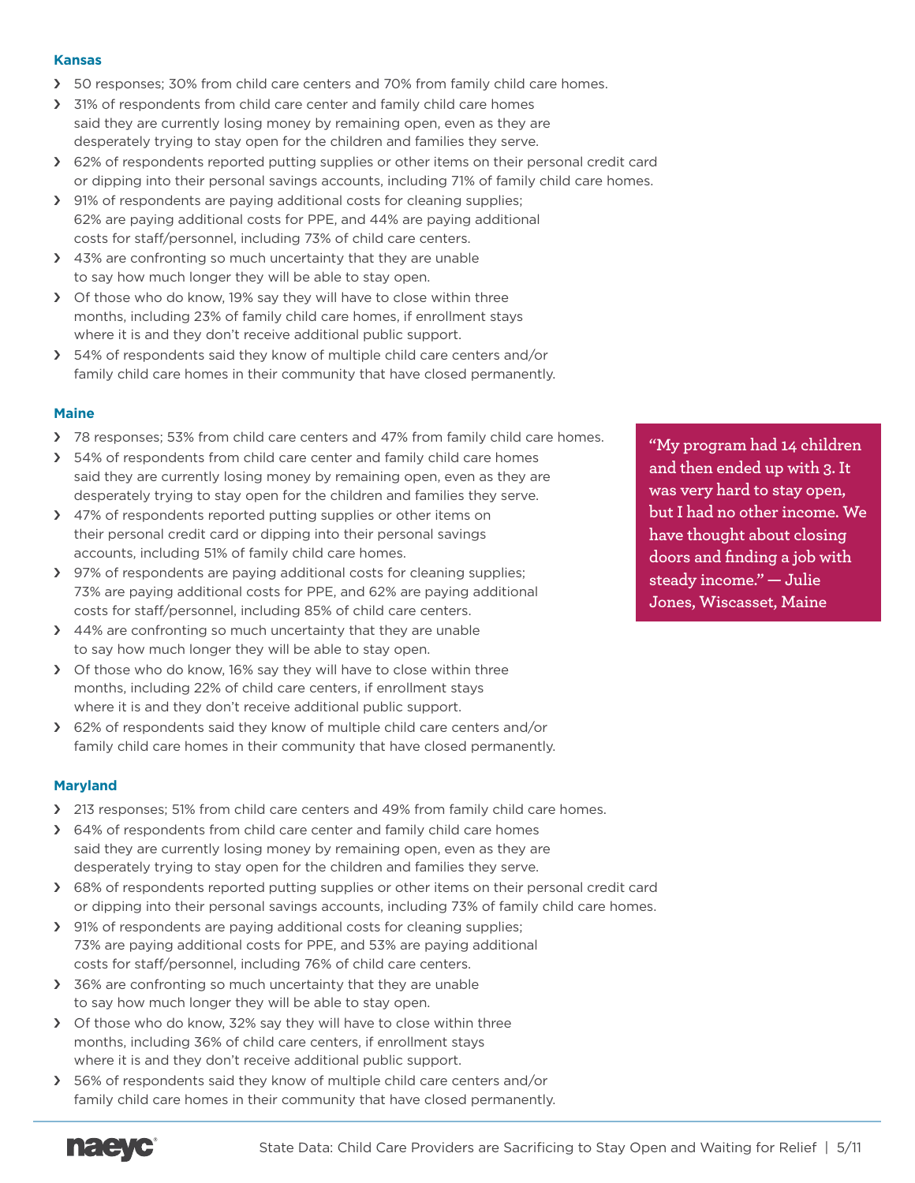### **Kansas**

- > 50 responses; 30% from child care centers and 70% from family child care homes.
- › 31% of respondents from child care center and family child care homes said they are currently losing money by remaining open, even as they are desperately trying to stay open for the children and families they serve.
- › 62% of respondents reported putting supplies or other items on their personal credit card or dipping into their personal savings accounts, including 71% of family child care homes.
- › 91% of respondents are paying additional costs for cleaning supplies; 62% are paying additional costs for PPE, and 44% are paying additional costs for staff/personnel, including 73% of child care centers.
- > 43% are confronting so much uncertainty that they are unable to say how much longer they will be able to stay open.
- › Of those who do know, 19% say they will have to close within three months, including 23% of family child care homes, if enrollment stays where it is and they don't receive additional public support.
- › 54% of respondents said they know of multiple child care centers and/or family child care homes in their community that have closed permanently.

# **Maine**

- > 78 responses; 53% from child care centers and 47% from family child care homes.
- > 54% of respondents from child care center and family child care homes said they are currently losing money by remaining open, even as they are desperately trying to stay open for the children and families they serve.
- › 47% of respondents reported putting supplies or other items on their personal credit card or dipping into their personal savings accounts, including 51% of family child care homes.
- › 97% of respondents are paying additional costs for cleaning supplies; 73% are paying additional costs for PPE, and 62% are paying additional costs for staff/personnel, including 85% of child care centers.
- › 44% are confronting so much uncertainty that they are unable to say how much longer they will be able to stay open.
- › Of those who do know, 16% say they will have to close within three months, including 22% of child care centers, if enrollment stays where it is and they don't receive additional public support.
- › 62% of respondents said they know of multiple child care centers and/or family child care homes in their community that have closed permanently.

# **Maryland**

- > 213 responses; 51% from child care centers and 49% from family child care homes.
- › 64% of respondents from child care center and family child care homes said they are currently losing money by remaining open, even as they are desperately trying to stay open for the children and families they serve.
- › 68% of respondents reported putting supplies or other items on their personal credit card or dipping into their personal savings accounts, including 73% of family child care homes.
- › 91% of respondents are paying additional costs for cleaning supplies; 73% are paying additional costs for PPE, and 53% are paying additional costs for staff/personnel, including 76% of child care centers.
- > 36% are confronting so much uncertainty that they are unable to say how much longer they will be able to stay open.
- > Of those who do know, 32% say they will have to close within three months, including 36% of child care centers, if enrollment stays where it is and they don't receive additional public support.
- › 56% of respondents said they know of multiple child care centers and/or family child care homes in their community that have closed permanently.

**"My program had 14 children and then ended up with 3. It was very hard to stay open, but I had no other income. We have thought about closing doors and finding a job with steady income." — Julie Jones, Wiscasset, Maine**

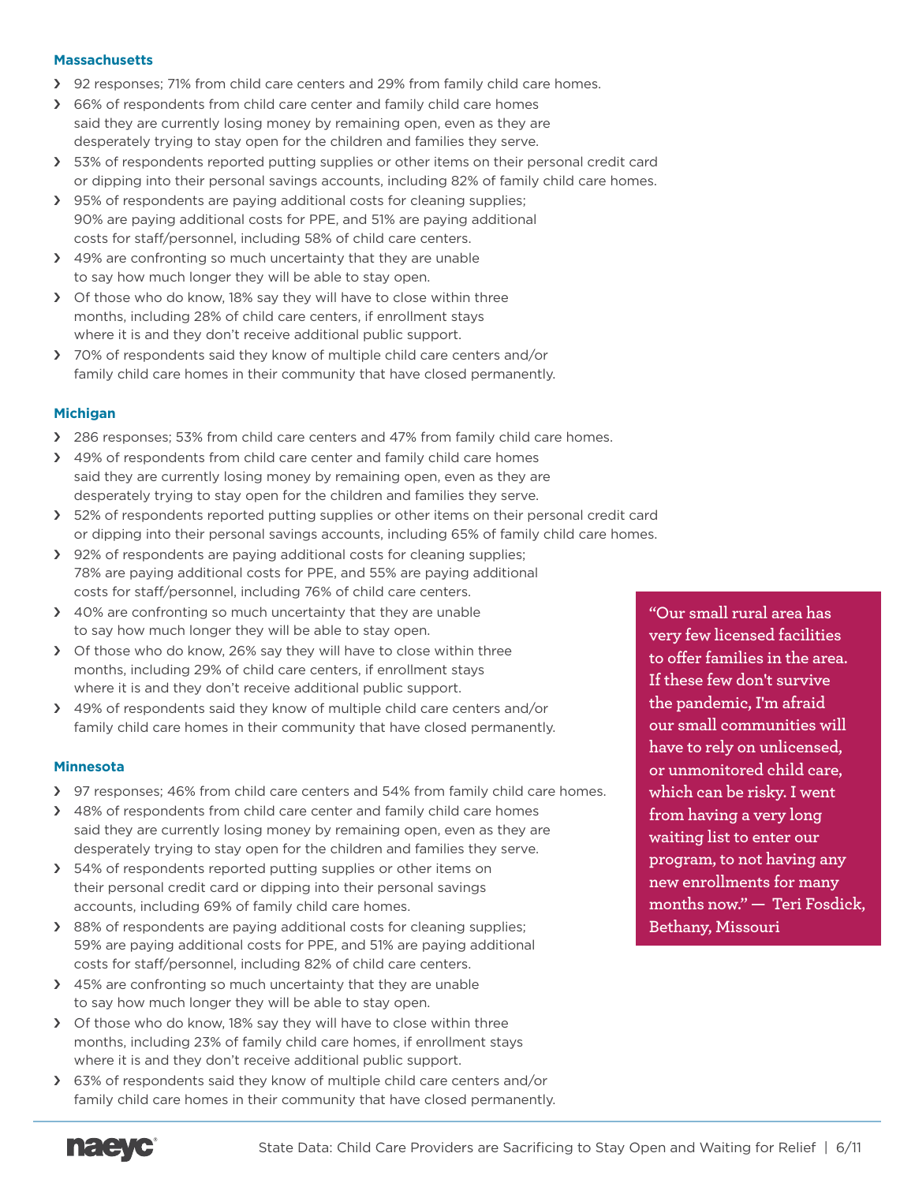#### **Massachusetts**

- › 92 responses; 71% from child care centers and 29% from family child care homes.
- › 66% of respondents from child care center and family child care homes said they are currently losing money by remaining open, even as they are desperately trying to stay open for the children and families they serve.
- › 53% of respondents reported putting supplies or other items on their personal credit card or dipping into their personal savings accounts, including 82% of family child care homes.
- › 95% of respondents are paying additional costs for cleaning supplies; 90% are paying additional costs for PPE, and 51% are paying additional costs for staff/personnel, including 58% of child care centers.
- > 49% are confronting so much uncertainty that they are unable to say how much longer they will be able to stay open.
- › Of those who do know, 18% say they will have to close within three months, including 28% of child care centers, if enrollment stays where it is and they don't receive additional public support.
- › 70% of respondents said they know of multiple child care centers and/or family child care homes in their community that have closed permanently.

# **Michigan**

- › 286 responses; 53% from child care centers and 47% from family child care homes.
- › 49% of respondents from child care center and family child care homes said they are currently losing money by remaining open, even as they are desperately trying to stay open for the children and families they serve.
- › 52% of respondents reported putting supplies or other items on their personal credit card or dipping into their personal savings accounts, including 65% of family child care homes.
- › 92% of respondents are paying additional costs for cleaning supplies; 78% are paying additional costs for PPE, and 55% are paying additional costs for staff/personnel, including 76% of child care centers.
- > 40% are confronting so much uncertainty that they are unable to say how much longer they will be able to stay open.
- › Of those who do know, 26% say they will have to close within three months, including 29% of child care centers, if enrollment stays where it is and they don't receive additional public support.
- › 49% of respondents said they know of multiple child care centers and/or family child care homes in their community that have closed permanently.

# **Minnesota**

- > 97 responses; 46% from child care centers and 54% from family child care homes.
- > 48% of respondents from child care center and family child care homes said they are currently losing money by remaining open, even as they are desperately trying to stay open for the children and families they serve.
- > 54% of respondents reported putting supplies or other items on their personal credit card or dipping into their personal savings accounts, including 69% of family child care homes.
- › 88% of respondents are paying additional costs for cleaning supplies; 59% are paying additional costs for PPE, and 51% are paying additional costs for staff/personnel, including 82% of child care centers.
- > 45% are confronting so much uncertainty that they are unable to say how much longer they will be able to stay open.
- > Of those who do know, 18% say they will have to close within three months, including 23% of family child care homes, if enrollment stays where it is and they don't receive additional public support.
- › 63% of respondents said they know of multiple child care centers and/or family child care homes in their community that have closed permanently.

**"Our small rural area has very few licensed facilities to offer families in the area. If these few don't survive the pandemic, I'm afraid our small communities will have to rely on unlicensed, or unmonitored child care, which can be risky. I went from having a very long waiting list to enter our program, to not having any new enrollments for many months now." — Teri Fosdick, Bethany, Missouri**

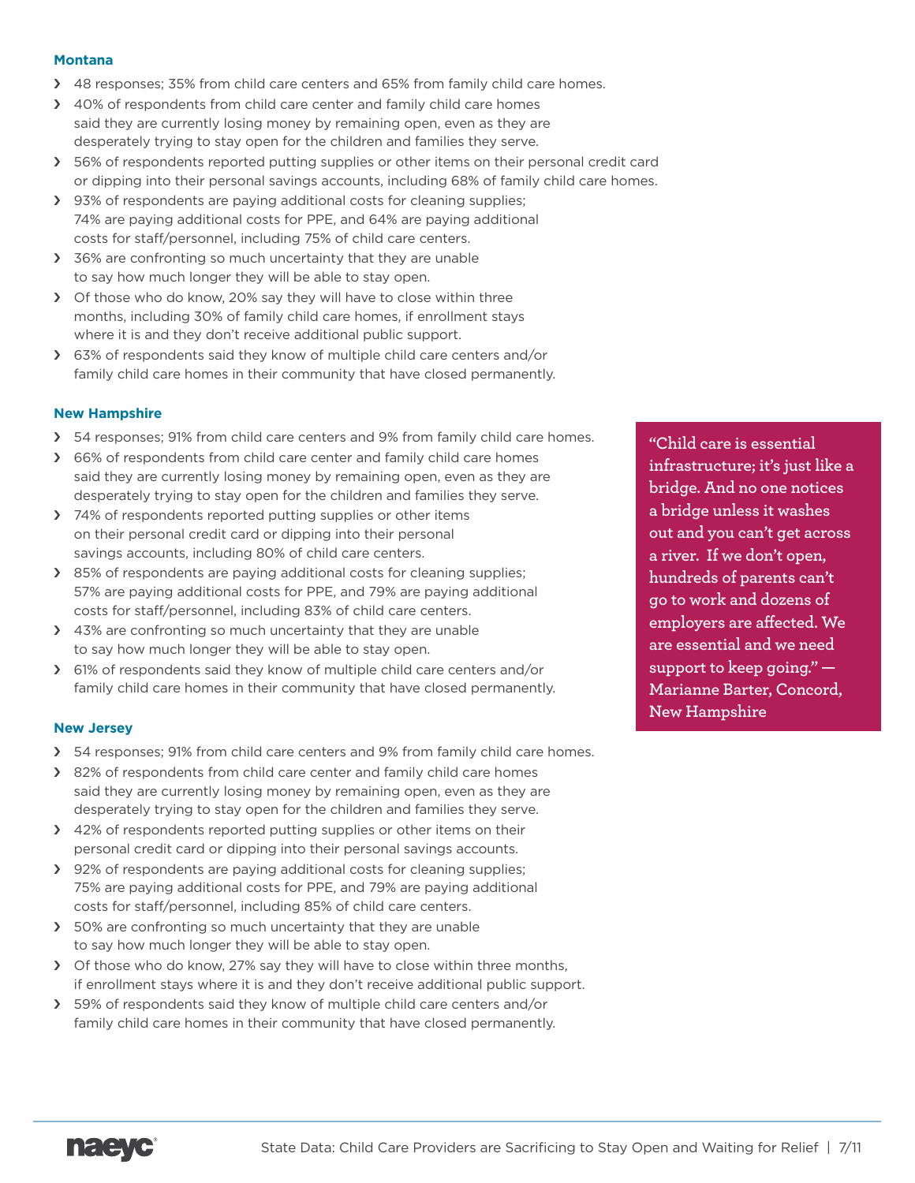#### **Montana**

- > 48 responses; 35% from child care centers and 65% from family child care homes.
- › 40% of respondents from child care center and family child care homes said they are currently losing money by remaining open, even as they are desperately trying to stay open for the children and families they serve.
- > 56% of respondents reported putting supplies or other items on their personal credit card or dipping into their personal savings accounts, including 68% of family child care homes.
- › 93% of respondents are paying additional costs for cleaning supplies; 74% are paying additional costs for PPE, and 64% are paying additional costs for staff/personnel, including 75% of child care centers.
- > 36% are confronting so much uncertainty that they are unable to say how much longer they will be able to stay open.
- › Of those who do know, 20% say they will have to close within three months, including 30% of family child care homes, if enrollment stays where it is and they don't receive additional public support.
- › 63% of respondents said they know of multiple child care centers and/or family child care homes in their community that have closed permanently.

# **New Hampshire**

- > 54 responses; 91% from child care centers and 9% from family child care homes.
- > 66% of respondents from child care center and family child care homes said they are currently losing money by remaining open, even as they are desperately trying to stay open for the children and families they serve.
- > 74% of respondents reported putting supplies or other items on their personal credit card or dipping into their personal savings accounts, including 80% of child care centers.
- > 85% of respondents are paying additional costs for cleaning supplies; 57% are paying additional costs for PPE, and 79% are paying additional costs for staff/personnel, including 83% of child care centers.
- > 43% are confronting so much uncertainty that they are unable to say how much longer they will be able to stay open.
- › 61% of respondents said they know of multiple child care centers and/or family child care homes in their community that have closed permanently.

# **New Jersey**

- › 54 responses; 91% from child care centers and 9% from family child care homes.
- > 82% of respondents from child care center and family child care homes said they are currently losing money by remaining open, even as they are desperately trying to stay open for the children and families they serve.
- > 42% of respondents reported putting supplies or other items on their personal credit card or dipping into their personal savings accounts.
- > 92% of respondents are paying additional costs for cleaning supplies; 75% are paying additional costs for PPE, and 79% are paying additional costs for staff/personnel, including 85% of child care centers.
- > 50% are confronting so much uncertainty that they are unable to say how much longer they will be able to stay open.
- › Of those who do know, 27% say they will have to close within three months, if enrollment stays where it is and they don't receive additional public support.
- > 59% of respondents said they know of multiple child care centers and/or family child care homes in their community that have closed permanently.

**"Child care is essential infrastructure; it's just like a bridge. And no one notices a bridge unless it washes out and you can't get across a river. If we don't open, hundreds of parents can't go to work and dozens of employers are affected. We are essential and we need support to keep going." — Marianne Barter, Concord, New Hampshire**

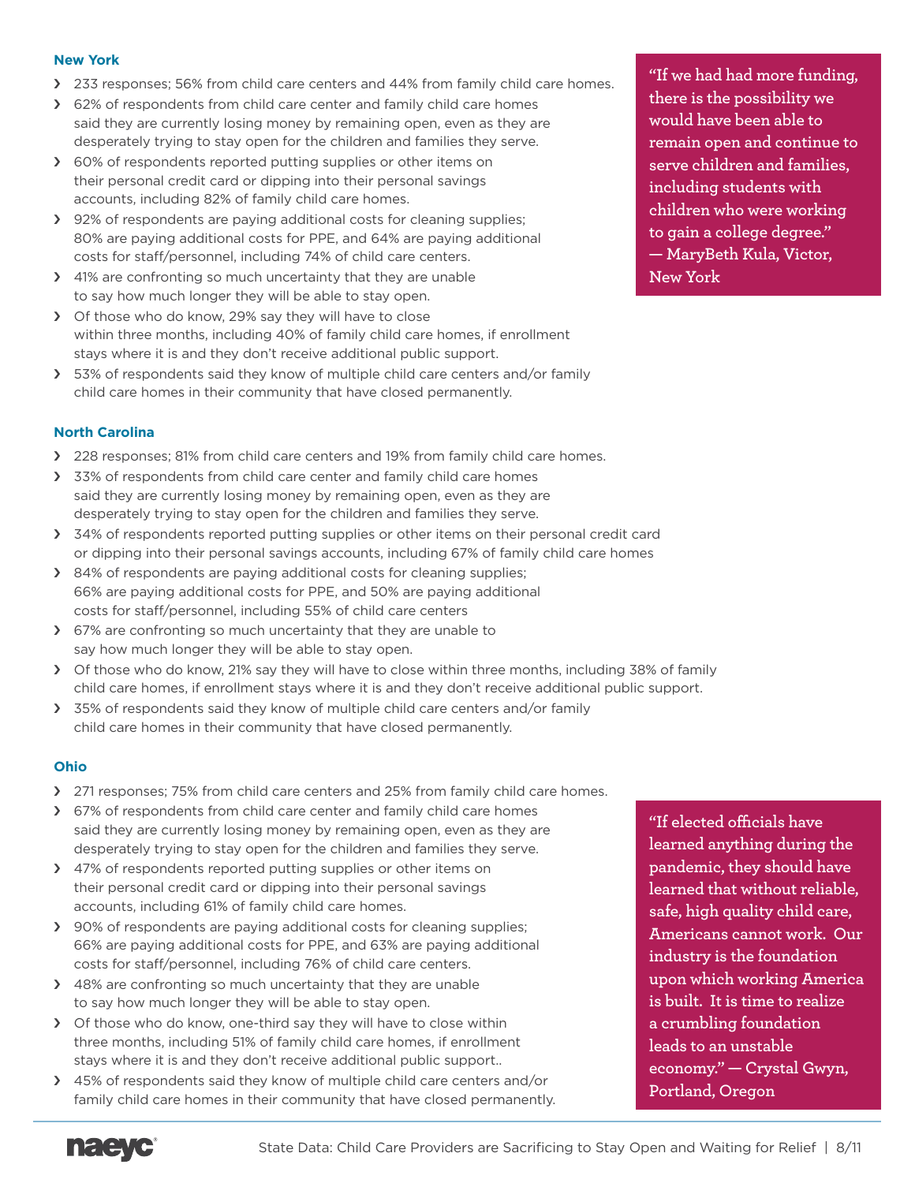### **New York**

- › 233 responses; 56% from child care centers and 44% from family child care homes.
- › 62% of respondents from child care center and family child care homes said they are currently losing money by remaining open, even as they are desperately trying to stay open for the children and families they serve.
- › 60% of respondents reported putting supplies or other items on their personal credit card or dipping into their personal savings accounts, including 82% of family child care homes.
- › 92% of respondents are paying additional costs for cleaning supplies; 80% are paying additional costs for PPE, and 64% are paying additional costs for staff/personnel, including 74% of child care centers.
- › 41% are confronting so much uncertainty that they are unable to say how much longer they will be able to stay open.
- › Of those who do know, 29% say they will have to close within three months, including 40% of family child care homes, if enrollment stays where it is and they don't receive additional public support.
- › 53% of respondents said they know of multiple child care centers and/or family child care homes in their community that have closed permanently.

# **North Carolina**

- › 228 responses; 81% from child care centers and 19% from family child care homes.
- > 33% of respondents from child care center and family child care homes said they are currently losing money by remaining open, even as they are desperately trying to stay open for the children and families they serve.
- > 34% of respondents reported putting supplies or other items on their personal credit card or dipping into their personal savings accounts, including 67% of family child care homes
- › 84% of respondents are paying additional costs for cleaning supplies; 66% are paying additional costs for PPE, and 50% are paying additional costs for staff/personnel, including 55% of child care centers
- › 67% are confronting so much uncertainty that they are unable to say how much longer they will be able to stay open.
- › Of those who do know, 21% say they will have to close within three months, including 38% of family child care homes, if enrollment stays where it is and they don't receive additional public support.
- > 35% of respondents said they know of multiple child care centers and/or family child care homes in their community that have closed permanently.

# **Ohio**

- > 271 responses; 75% from child care centers and 25% from family child care homes.
- > 67% of respondents from child care center and family child care homes said they are currently losing money by remaining open, even as they are desperately trying to stay open for the children and families they serve.
- > 47% of respondents reported putting supplies or other items on their personal credit card or dipping into their personal savings accounts, including 61% of family child care homes.
- › 90% of respondents are paying additional costs for cleaning supplies; 66% are paying additional costs for PPE, and 63% are paying additional costs for staff/personnel, including 76% of child care centers.
- > 48% are confronting so much uncertainty that they are unable to say how much longer they will be able to stay open.
- > Of those who do know, one-third say they will have to close within three months, including 51% of family child care homes, if enrollment stays where it is and they don't receive additional public support..
- › 45% of respondents said they know of multiple child care centers and/or family child care homes in their community that have closed permanently.

**"If we had had more funding, there is the possibility we would have been able to remain open and continue to serve children and families, including students with children who were working to gain a college degree." — MaryBeth Kula, Victor, New York**

**"If elected officials have learned anything during the pandemic, they should have learned that without reliable, safe, high quality child care, Americans cannot work. Our industry is the foundation upon which working America is built. It is time to realize a crumbling foundation leads to an unstable economy." — Crystal Gwyn, Portland, Oregon**

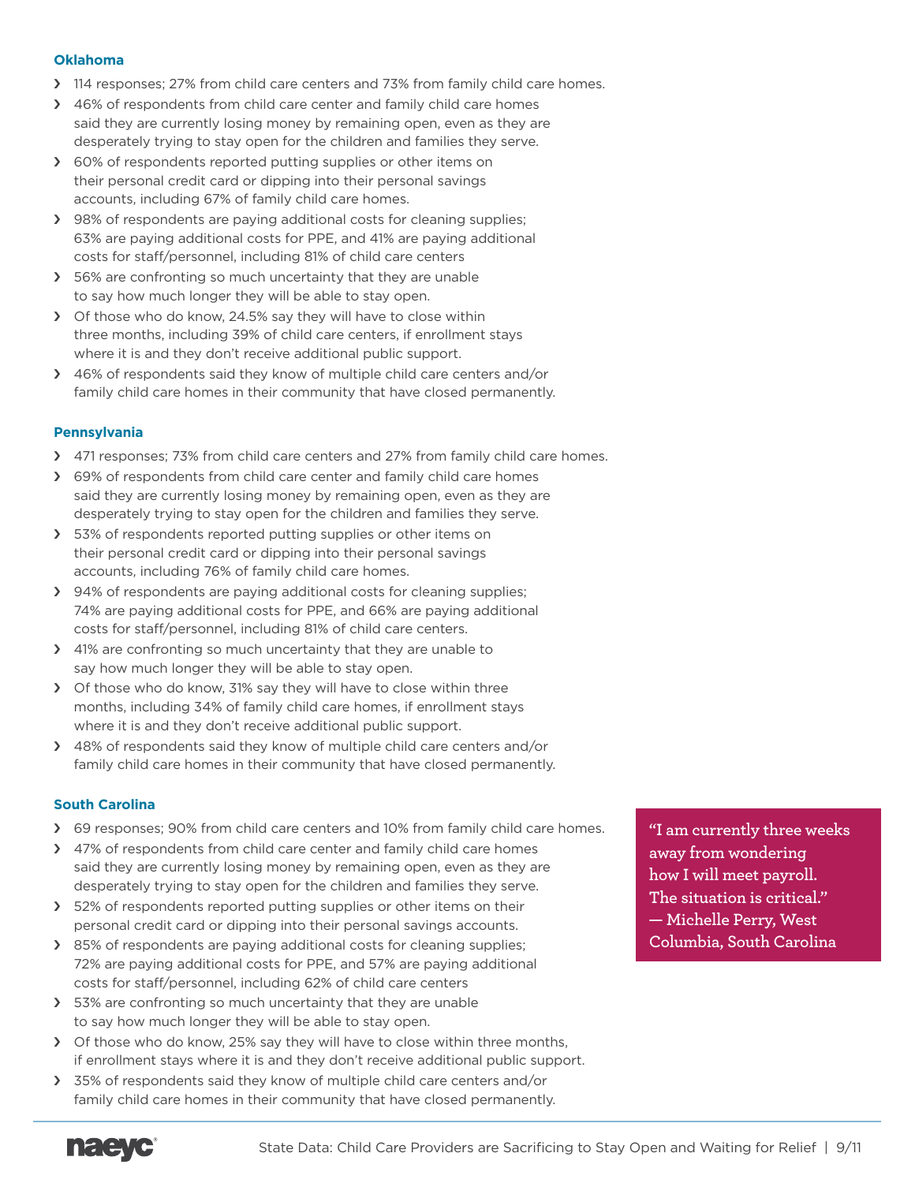### **Oklahoma**

- › 114 responses; 27% from child care centers and 73% from family child care homes.
- › 46% of respondents from child care center and family child care homes said they are currently losing money by remaining open, even as they are desperately trying to stay open for the children and families they serve.
- > 60% of respondents reported putting supplies or other items on their personal credit card or dipping into their personal savings accounts, including 67% of family child care homes.
- › 98% of respondents are paying additional costs for cleaning supplies; 63% are paying additional costs for PPE, and 41% are paying additional costs for staff/personnel, including 81% of child care centers
- > 56% are confronting so much uncertainty that they are unable to say how much longer they will be able to stay open.
- › Of those who do know, 24.5% say they will have to close within three months, including 39% of child care centers, if enrollment stays where it is and they don't receive additional public support.
- › 46% of respondents said they know of multiple child care centers and/or family child care homes in their community that have closed permanently.

# **Pennsylvania**

- › 471 responses; 73% from child care centers and 27% from family child care homes.
- > 69% of respondents from child care center and family child care homes said they are currently losing money by remaining open, even as they are desperately trying to stay open for the children and families they serve.
- > 53% of respondents reported putting supplies or other items on their personal credit card or dipping into their personal savings accounts, including 76% of family child care homes.
- › 94% of respondents are paying additional costs for cleaning supplies; 74% are paying additional costs for PPE, and 66% are paying additional costs for staff/personnel, including 81% of child care centers.
- › 41% are confronting so much uncertainty that they are unable to say how much longer they will be able to stay open.
- › Of those who do know, 31% say they will have to close within three months, including 34% of family child care homes, if enrollment stays where it is and they don't receive additional public support.
- > 48% of respondents said they know of multiple child care centers and/or family child care homes in their community that have closed permanently.

# **South Carolina**

- › 69 responses; 90% from child care centers and 10% from family child care homes.
- > 47% of respondents from child care center and family child care homes said they are currently losing money by remaining open, even as they are desperately trying to stay open for the children and families they serve.
- > 52% of respondents reported putting supplies or other items on their personal credit card or dipping into their personal savings accounts.
- › 85% of respondents are paying additional costs for cleaning supplies; 72% are paying additional costs for PPE, and 57% are paying additional costs for staff/personnel, including 62% of child care centers
- > 53% are confronting so much uncertainty that they are unable to say how much longer they will be able to stay open.
- > Of those who do know, 25% say they will have to close within three months, if enrollment stays where it is and they don't receive additional public support.
- › 35% of respondents said they know of multiple child care centers and/or family child care homes in their community that have closed permanently.

**"I am currently three weeks away from wondering how I will meet payroll. The situation is critical." — Michelle Perry, West Columbia, South Carolina**

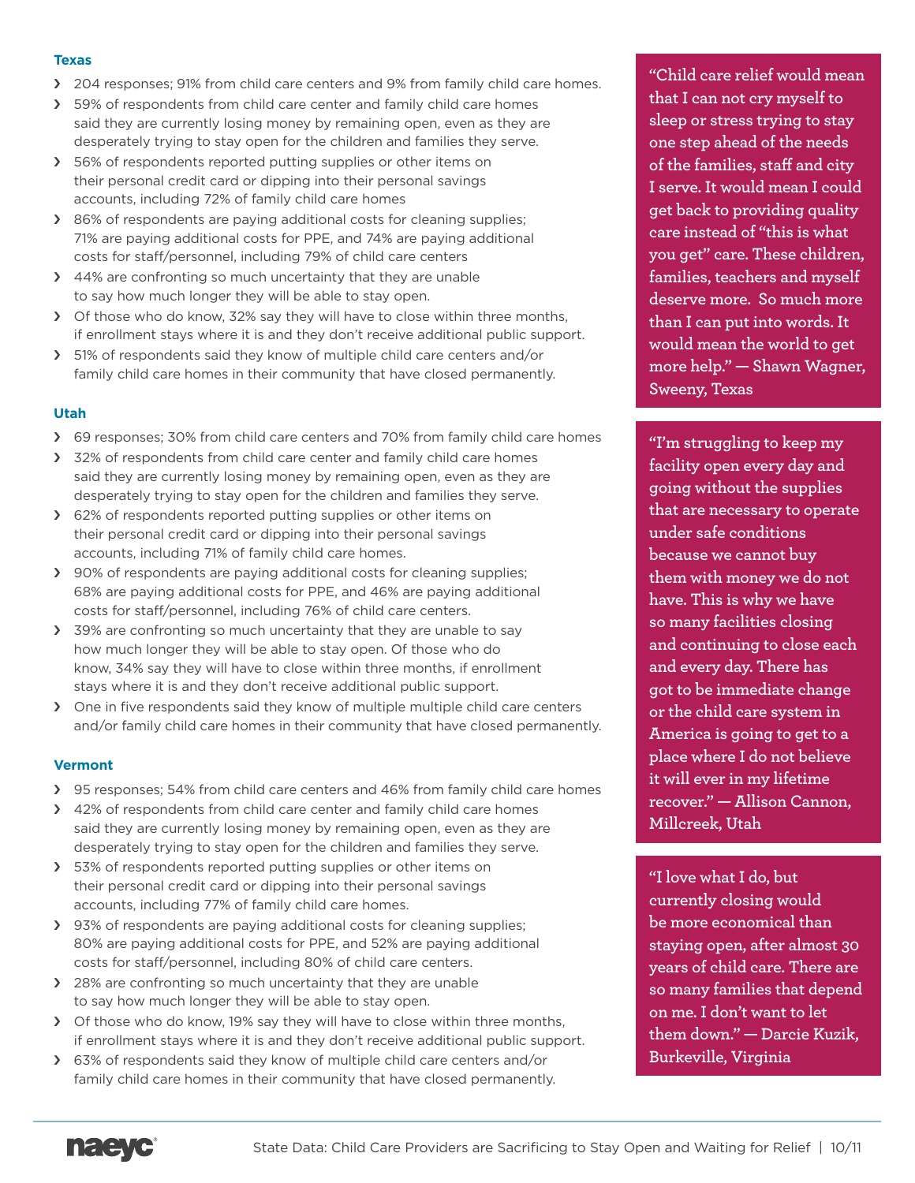### **Texas**

- › 204 responses; 91% from child care centers and 9% from family child care homes.
- > 59% of respondents from child care center and family child care homes said they are currently losing money by remaining open, even as they are desperately trying to stay open for the children and families they serve.
- > 56% of respondents reported putting supplies or other items on their personal credit card or dipping into their personal savings accounts, including 72% of family child care homes
- › 86% of respondents are paying additional costs for cleaning supplies; 71% are paying additional costs for PPE, and 74% are paying additional costs for staff/personnel, including 79% of child care centers
- › 44% are confronting so much uncertainty that they are unable to say how much longer they will be able to stay open.
- › Of those who do know, 32% say they will have to close within three months, if enrollment stays where it is and they don't receive additional public support.
- › 51% of respondents said they know of multiple child care centers and/or family child care homes in their community that have closed permanently.

# **Utah**

- › 69 responses; 30% from child care centers and 70% from family child care homes
- > 32% of respondents from child care center and family child care homes said they are currently losing money by remaining open, even as they are desperately trying to stay open for the children and families they serve.
- › 62% of respondents reported putting supplies or other items on their personal credit card or dipping into their personal savings accounts, including 71% of family child care homes.
- > 90% of respondents are paying additional costs for cleaning supplies; 68% are paying additional costs for PPE, and 46% are paying additional costs for staff/personnel, including 76% of child care centers.
- > 39% are confronting so much uncertainty that they are unable to say how much longer they will be able to stay open. Of those who do know, 34% say they will have to close within three months, if enrollment stays where it is and they don't receive additional public support.
- › One in five respondents said they know of multiple multiple child care centers and/or family child care homes in their community that have closed permanently.

# **Vermont**

- › 95 responses; 54% from child care centers and 46% from family child care homes
- > 42% of respondents from child care center and family child care homes said they are currently losing money by remaining open, even as they are desperately trying to stay open for the children and families they serve.
- > 53% of respondents reported putting supplies or other items on their personal credit card or dipping into their personal savings accounts, including 77% of family child care homes.
- › 93% of respondents are paying additional costs for cleaning supplies; 80% are paying additional costs for PPE, and 52% are paying additional costs for staff/personnel, including 80% of child care centers.
- › 28% are confronting so much uncertainty that they are unable to say how much longer they will be able to stay open.
- › Of those who do know, 19% say they will have to close within three months, if enrollment stays where it is and they don't receive additional public support.
- › 63% of respondents said they know of multiple child care centers and/or family child care homes in their community that have closed permanently.

**"Child care relief would mean that I can not cry myself to sleep or stress trying to stay one step ahead of the needs of the families, staff and city I serve. It would mean I could get back to providing quality care instead of "this is what you get" care. These children, families, teachers and myself deserve more. So much more than I can put into words. It would mean the world to get more help." — Shawn Wagner, Sweeny, Texas**

**"I'm struggling to keep my facility open every day and going without the supplies that are necessary to operate under safe conditions because we cannot buy them with money we do not have. This is why we have so many facilities closing and continuing to close each and every day. There has got to be immediate change or the child care system in America is going to get to a place where I do not believe it will ever in my lifetime recover." — Allison Cannon, Millcreek, Utah**

**"I love what I do, but currently closing would be more economical than staying open, after almost 30 years of child care. There are so many families that depend on me. I don't want to let them down." — Darcie Kuzik, Burkeville, Virginia**